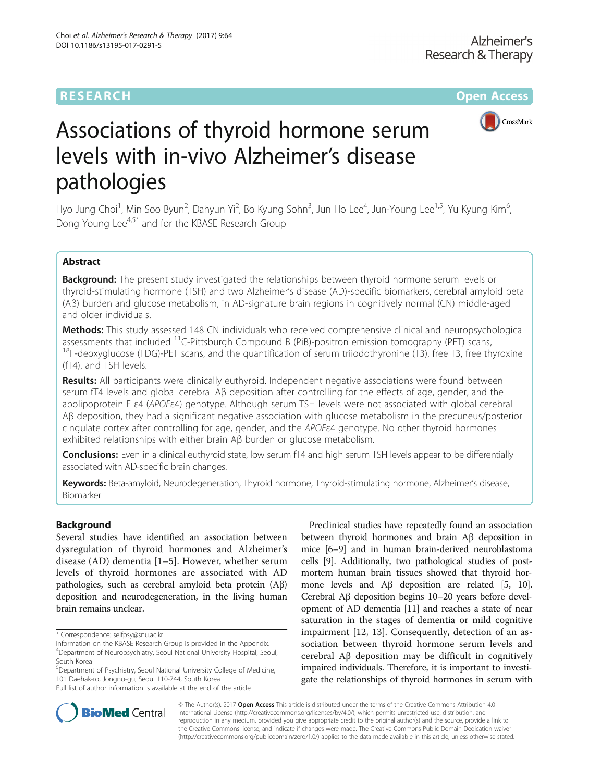# **RESEARCH CHE Open Access**



# Associations of thyroid hormone serum levels with in-vivo Alzheimer's disease pathologies

Hyo Jung Choi<sup>1</sup>, Min Soo Byun<sup>2</sup>, Dahyun Yi<sup>2</sup>, Bo Kyung Sohn<sup>3</sup>, Jun Ho Lee<sup>4</sup>, Jun-Young Lee<sup>1,5</sup>, Yu Kyung Kim<sup>6</sup> , Dong Young Lee<sup>4,5\*</sup> and for the KBASE Research Group

# Abstract

Background: The present study investigated the relationships between thyroid hormone serum levels or thyroid-stimulating hormone (TSH) and two Alzheimer's disease (AD)-specific biomarkers, cerebral amyloid beta (Aβ) burden and glucose metabolism, in AD-signature brain regions in cognitively normal (CN) middle-aged and older individuals.

Methods: This study assessed 148 CN individuals who received comprehensive clinical and neuropsychological assessments that included <sup>11</sup>C-Pittsburgh Compound B (PiB)-positron emission tomography (PET) scans, 18F-deoxyglucose (FDG)-PET scans, and the quantification of serum triiodothyronine (T3), free T3, free thyroxine (fT4), and TSH levels.

**Results:** All participants were clinically euthyroid. Independent negative associations were found between serum fT4 levels and global cerebral Aβ deposition after controlling for the effects of age, gender, and the apolipoprotein E ε4 (APOEε4) genotype. Although serum TSH levels were not associated with global cerebral Aβ deposition, they had a significant negative association with glucose metabolism in the precuneus/posterior cingulate cortex after controlling for age, gender, and the APOE e4 genotype. No other thyroid hormones exhibited relationships with either brain Aβ burden or glucose metabolism.

Conclusions: Even in a clinical euthyroid state, low serum fT4 and high serum TSH levels appear to be differentially associated with AD-specific brain changes.

Keywords: Beta-amyloid, Neurodegeneration, Thyroid hormone, Thyroid-stimulating hormone, Alzheimer's disease, Biomarker

# Background

Several studies have identified an association between dysregulation of thyroid hormones and Alzheimer's disease (AD) dementia [\[1](#page-7-0)–[5\]](#page-7-0). However, whether serum levels of thyroid hormones are associated with AD pathologies, such as cerebral amyloid beta protein (Aβ) deposition and neurodegeneration, in the living human brain remains unclear.

5 Department of Psychiatry, Seoul National University College of Medicine, 101 Daehak-ro, Jongno-gu, Seoul 110-744, South Korea

Full list of author information is available at the end of the article

Preclinical studies have repeatedly found an association between thyroid hormones and brain Aβ deposition in mice [[6](#page-7-0)–[9](#page-8-0)] and in human brain-derived neuroblastoma cells [[9\]](#page-8-0). Additionally, two pathological studies of postmortem human brain tissues showed that thyroid hormone levels and Aβ deposition are related [[5,](#page-7-0) [10](#page-8-0)]. Cerebral Aβ deposition begins 10–20 years before development of AD dementia [[11](#page-8-0)] and reaches a state of near saturation in the stages of dementia or mild cognitive impairment [\[12](#page-8-0), [13](#page-8-0)]. Consequently, detection of an association between thyroid hormone serum levels and cerebral Aβ deposition may be difficult in cognitively impaired individuals. Therefore, it is important to investigate the relationships of thyroid hormones in serum with



© The Author(s). 2017 **Open Access** This article is distributed under the terms of the Creative Commons Attribution 4.0 International License [\(http://creativecommons.org/licenses/by/4.0/](http://creativecommons.org/licenses/by/4.0/)), which permits unrestricted use, distribution, and reproduction in any medium, provided you give appropriate credit to the original author(s) and the source, provide a link to the Creative Commons license, and indicate if changes were made. The Creative Commons Public Domain Dedication waiver [\(http://creativecommons.org/publicdomain/zero/1.0/](http://creativecommons.org/publicdomain/zero/1.0/)) applies to the data made available in this article, unless otherwise stated.

<sup>\*</sup> Correspondence: [selfpsy@snu.ac.kr](mailto:selfpsy@snu.ac.kr)

Information on the KBASE Research Group is provided in the Appendix.

<sup>4</sup> Department of Neuropsychiatry, Seoul National University Hospital, Seoul, South Korea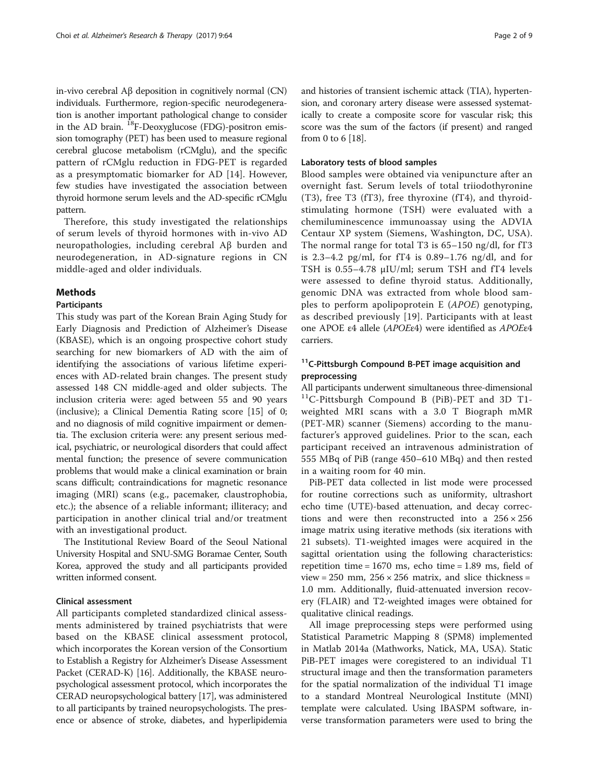in-vivo cerebral Aβ deposition in cognitively normal (CN) individuals. Furthermore, region-specific neurodegeneration is another important pathological change to consider in the AD brain. 18F-Deoxyglucose (FDG)-positron emission tomography (PET) has been used to measure regional cerebral glucose metabolism (rCMglu), and the specific pattern of rCMglu reduction in FDG-PET is regarded as a presymptomatic biomarker for AD [\[14](#page-8-0)]. However, few studies have investigated the association between thyroid hormone serum levels and the AD-specific rCMglu pattern.

Therefore, this study investigated the relationships of serum levels of thyroid hormones with in-vivo AD neuropathologies, including cerebral Aβ burden and neurodegeneration, in AD-signature regions in CN middle-aged and older individuals.

# Methods

#### Participants

This study was part of the Korean Brain Aging Study for Early Diagnosis and Prediction of Alzheimer's Disease (KBASE), which is an ongoing prospective cohort study searching for new biomarkers of AD with the aim of identifying the associations of various lifetime experiences with AD-related brain changes. The present study assessed 148 CN middle-aged and older subjects. The inclusion criteria were: aged between 55 and 90 years (inclusive); a Clinical Dementia Rating score [[15](#page-8-0)] of 0; and no diagnosis of mild cognitive impairment or dementia. The exclusion criteria were: any present serious medical, psychiatric, or neurological disorders that could affect mental function; the presence of severe communication problems that would make a clinical examination or brain scans difficult; contraindications for magnetic resonance imaging (MRI) scans (e.g., pacemaker, claustrophobia, etc.); the absence of a reliable informant; illiteracy; and participation in another clinical trial and/or treatment with an investigational product.

The Institutional Review Board of the Seoul National University Hospital and SNU-SMG Boramae Center, South Korea, approved the study and all participants provided written informed consent.

#### Clinical assessment

All participants completed standardized clinical assessments administered by trained psychiatrists that were based on the KBASE clinical assessment protocol, which incorporates the Korean version of the Consortium to Establish a Registry for Alzheimer's Disease Assessment Packet (CERAD-K) [\[16\]](#page-8-0). Additionally, the KBASE neuropsychological assessment protocol, which incorporates the CERAD neuropsychological battery [\[17\]](#page-8-0), was administered to all participants by trained neuropsychologists. The presence or absence of stroke, diabetes, and hyperlipidemia and histories of transient ischemic attack (TIA), hypertension, and coronary artery disease were assessed systematically to create a composite score for vascular risk; this score was the sum of the factors (if present) and ranged from 0 to 6 [[18](#page-8-0)].

#### Laboratory tests of blood samples

Blood samples were obtained via venipuncture after an overnight fast. Serum levels of total triiodothyronine (T3), free T3 (fT3), free thyroxine (fT4), and thyroidstimulating hormone (TSH) were evaluated with a chemiluminescence immunoassay using the ADVIA Centaur XP system (Siemens, Washington, DC, USA). The normal range for total T3 is 65–150 ng/dl, for fT3 is 2.3–4.2 pg/ml, for fT4 is 0.89–1.76 ng/dl, and for TSH is 0.55–4.78 μIU/ml; serum TSH and fT4 levels were assessed to define thyroid status. Additionally, genomic DNA was extracted from whole blood samples to perform apolipoprotein E (APOE) genotyping, as described previously [[19\]](#page-8-0). Participants with at least one APOE ε4 allele (APOEε4) were identified as APOEε4 carriers.

# <sup>11</sup>C-Pittsburgh Compound B-PET image acquisition and preprocessing

All participants underwent simultaneous three-dimensional  $^{11}$ C-Pittsburgh Compound B (PiB)-PET and 3D T1weighted MRI scans with a 3.0 T Biograph mMR (PET-MR) scanner (Siemens) according to the manufacturer's approved guidelines. Prior to the scan, each participant received an intravenous administration of 555 MBq of PiB (range 450–610 MBq) and then rested in a waiting room for 40 min.

PiB-PET data collected in list mode were processed for routine corrections such as uniformity, ultrashort echo time (UTE)-based attenuation, and decay corrections and were then reconstructed into a  $256 \times 256$ image matrix using iterative methods (six iterations with 21 subsets). T1-weighted images were acquired in the sagittal orientation using the following characteristics: repetition time =  $1670$  ms, echo time =  $1.89$  ms, field of view =  $250$  mm,  $256 \times 256$  matrix, and slice thickness = 1.0 mm. Additionally, fluid-attenuated inversion recovery (FLAIR) and T2-weighted images were obtained for qualitative clinical readings.

All image preprocessing steps were performed using Statistical Parametric Mapping 8 (SPM8) implemented in Matlab 2014a (Mathworks, Natick, MA, USA). Static PiB-PET images were coregistered to an individual T1 structural image and then the transformation parameters for the spatial normalization of the individual T1 image to a standard Montreal Neurological Institute (MNI) template were calculated. Using IBASPM software, inverse transformation parameters were used to bring the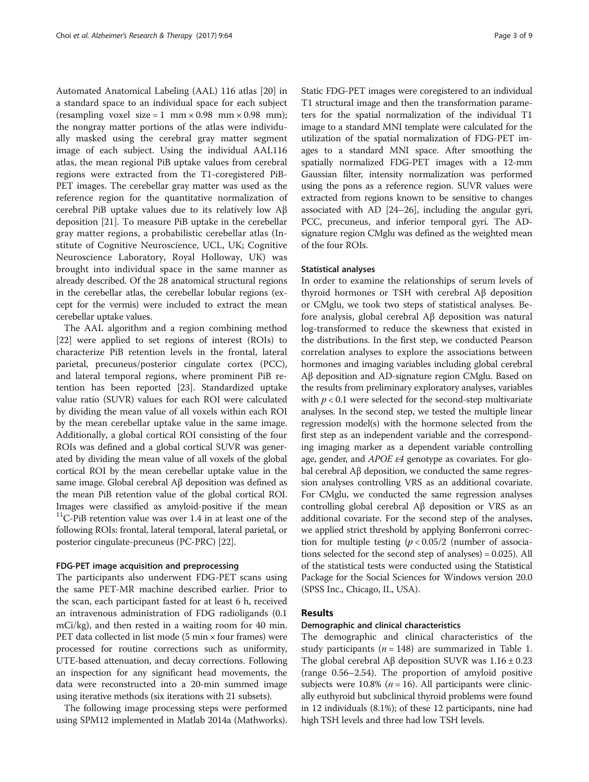Automated Anatomical Labeling (AAL) 116 atlas [\[20](#page-8-0)] in a standard space to an individual space for each subject (resampling voxel size = 1 mm  $\times$  0.98 mm  $\times$  0.98 mm); the nongray matter portions of the atlas were individually masked using the cerebral gray matter segment image of each subject. Using the individual AAL116 atlas, the mean regional PiB uptake values from cerebral regions were extracted from the T1-coregistered PiB-PET images. The cerebellar gray matter was used as the reference region for the quantitative normalization of cerebral PiB uptake values due to its relatively low Aβ deposition [[21](#page-8-0)]. To measure PiB uptake in the cerebellar gray matter regions, a probabilistic cerebellar atlas (Institute of Cognitive Neuroscience, UCL, UK; Cognitive Neuroscience Laboratory, Royal Holloway, UK) was brought into individual space in the same manner as already described. Of the 28 anatomical structural regions in the cerebellar atlas, the cerebellar lobular regions (except for the vermis) were included to extract the mean cerebellar uptake values.

The AAL algorithm and a region combining method [[22\]](#page-8-0) were applied to set regions of interest (ROIs) to characterize PiB retention levels in the frontal, lateral parietal, precuneus/posterior cingulate cortex (PCC), and lateral temporal regions, where prominent PiB retention has been reported [\[23](#page-8-0)]. Standardized uptake value ratio (SUVR) values for each ROI were calculated by dividing the mean value of all voxels within each ROI by the mean cerebellar uptake value in the same image. Additionally, a global cortical ROI consisting of the four ROIs was defined and a global cortical SUVR was generated by dividing the mean value of all voxels of the global cortical ROI by the mean cerebellar uptake value in the same image. Global cerebral Aβ deposition was defined as the mean PiB retention value of the global cortical ROI. Images were classified as amyloid-positive if the mean  $<sup>11</sup>C-PiB$  retention value was over 1.4 in at least one of the</sup> following ROIs: frontal, lateral temporal, lateral parietal, or posterior cingulate-precuneus (PC-PRC) [[22](#page-8-0)].

# FDG-PET image acquisition and preprocessing

The participants also underwent FDG-PET scans using the same PET-MR machine described earlier. Prior to the scan, each participant fasted for at least 6 h, received an intravenous administration of FDG radioligands (0.1 mCi/kg), and then rested in a waiting room for 40 min. PET data collected in list mode  $(5 \text{ min} \times \text{four frames})$  were processed for routine corrections such as uniformity, UTE-based attenuation, and decay corrections. Following an inspection for any significant head movements, the data were reconstructed into a 20-min summed image using iterative methods (six iterations with 21 subsets).

The following image processing steps were performed using SPM12 implemented in Matlab 2014a (Mathworks). Static FDG-PET images were coregistered to an individual T1 structural image and then the transformation parameters for the spatial normalization of the individual T1 image to a standard MNI template were calculated for the utilization of the spatial normalization of FDG-PET images to a standard MNI space. After smoothing the spatially normalized FDG-PET images with a 12-mm Gaussian filter, intensity normalization was performed using the pons as a reference region. SUVR values were extracted from regions known to be sensitive to changes associated with AD [\[24](#page-8-0)–[26](#page-8-0)], including the angular gyri, PCC, precuneus, and inferior temporal gyri. The ADsignature region CMglu was defined as the weighted mean of the four ROIs.

#### Statistical analyses

In order to examine the relationships of serum levels of thyroid hormones or TSH with cerebral Aβ deposition or CMglu, we took two steps of statistical analyses. Before analysis, global cerebral Aβ deposition was natural log-transformed to reduce the skewness that existed in the distributions. In the first step, we conducted Pearson correlation analyses to explore the associations between hormones and imaging variables including global cerebral Aβ deposition and AD-signature region CMglu. Based on the results from preliminary exploratory analyses, variables with  $p < 0.1$  were selected for the second-step multivariate analyses. In the second step, we tested the multiple linear regression model(s) with the hormone selected from the first step as an independent variable and the corresponding imaging marker as a dependent variable controlling age, gender, and APOE ε4 genotype as covariates. For global cerebral Aβ deposition, we conducted the same regression analyses controlling VRS as an additional covariate. For CMglu, we conducted the same regression analyses controlling global cerebral Aβ deposition or VRS as an additional covariate. For the second step of the analyses, we applied strict threshold by applying Bonferroni correction for multiple testing  $(p < 0.05/2$  (number of associations selected for the second step of analyses) = 0.025). All of the statistical tests were conducted using the Statistical Package for the Social Sciences for Windows version 20.0 (SPSS Inc., Chicago, IL, USA).

# Results

# Demographic and clinical characteristics

The demographic and clinical characteristics of the study participants ( $n = 148$  $n = 148$  $n = 148$ ) are summarized in Table 1. The global cerebral Aβ deposition SUVR was  $1.16 \pm 0.23$ (range 0.56–2.54). The proportion of amyloid positive subjects were 10.8% ( $n = 16$ ). All participants were clinically euthyroid but subclinical thyroid problems were found in 12 individuals (8.1%); of these 12 participants, nine had high TSH levels and three had low TSH levels.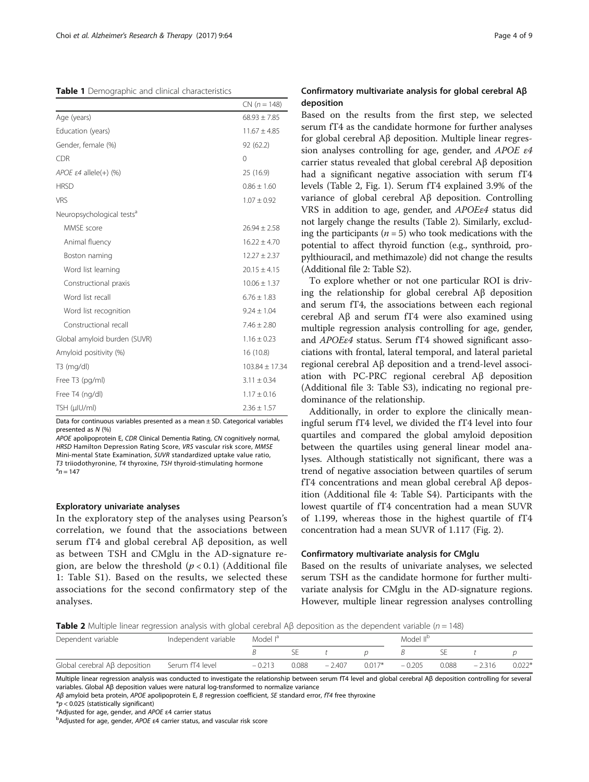<span id="page-3-0"></span>Table 1 Demographic and clinical characteristics

|                                       | $CN (n = 148)$     |
|---------------------------------------|--------------------|
| Age (years)                           | $68.93 \pm 7.85$   |
| Education (years)                     | $11.67 \pm 4.85$   |
| Gender, female (%)                    | 92(62.2)           |
| <b>CDR</b>                            | $\Omega$           |
| APOE $\varepsilon$ 4 allele(+) (%)    | 25 (16.9)          |
| <b>HRSD</b>                           | $0.86 \pm 1.60$    |
| <b>VRS</b>                            | $1.07 \pm 0.92$    |
| Neuropsychological tests <sup>a</sup> |                    |
| MMSE score                            | $26.94 \pm 2.58$   |
| Animal fluency                        | $16.22 + 4.70$     |
| Boston naming                         | $12.27 \pm 2.37$   |
| Word list learning                    | $20.15 \pm 4.15$   |
| Constructional praxis                 | $10.06 \pm 1.37$   |
| Word list recall                      | $6.76 \pm 1.83$    |
| Word list recognition                 | $9.24 \pm 1.04$    |
| Constructional recall                 | $7.46 \pm 2.80$    |
| Global amyloid burden (SUVR)          | $1.16 \pm 0.23$    |
| Amyloid positivity (%)                | 16 (10.8)          |
| T3 (mg/dl)                            | $103.84 \pm 17.34$ |
| Free T3 (pg/ml)                       | $3.11 \pm 0.34$    |
| Free T4 (ng/dl)                       | $1.17 \pm 0.16$    |
| TSH (µIU/ml)                          | $2.36 \pm 1.57$    |

Data for continuous variables presented as a mean ± SD. Categorical variables presented as N (%)<br>4POE anolinoprote

APOE apolipoprotein E, CDR Clinical Dementia Rating, CN cognitively normal,<br>HPSD Hamilton Depression Rating Score, VPS vascular risk score, MMSE HRSD Hamilton Depression Rating Score, VRS vascular risk score, MMSE Mini-mental State Examination, SUVR standardized uptake value ratio, T3 triiodothyronine, T4 thyroxine, TSH thyroid-stimulating hormone  $n = 147$ 

#### Exploratory univariate analyses

In the exploratory step of the analyses using Pearson's correlation, we found that the associations between serum fT4 and global cerebral Aβ deposition, as well as between TSH and CMglu in the AD-signature region, are below the threshold  $(p < 0.1)$  (Additional file [1:](#page-7-0) Table S1). Based on the results, we selected these associations for the second confirmatory step of the analyses.

# Confirmatory multivariate analysis for global cerebral Aβ deposition

Based on the results from the first step, we selected serum fT4 as the candidate hormone for further analyses for global cerebral Aβ deposition. Multiple linear regression analyses controlling for age, gender, and  $APOE$   $\varepsilon4$ carrier status revealed that global cerebral Aβ deposition had a significant negative association with serum fT4 levels (Table 2, Fig. [1\)](#page-4-0). Serum fT4 explained 3.9% of the variance of global cerebral Aβ deposition. Controlling VRS in addition to age, gender, and APOEε4 status did not largely change the results (Table 2). Similarly, excluding the participants ( $n = 5$ ) who took medications with the potential to affect thyroid function (e.g., synthroid, propylthiouracil, and methimazole) did not change the results (Additional file [2](#page-7-0): Table S2).

To explore whether or not one particular ROI is driving the relationship for global cerebral Aβ deposition and serum fT4, the associations between each regional cerebral Aβ and serum fT4 were also examined using multiple regression analysis controlling for age, gender, and APOEε4 status. Serum fT4 showed significant associations with frontal, lateral temporal, and lateral parietal regional cerebral Aβ deposition and a trend-level association with PC-PRC regional cerebral Aβ deposition (Additional file [3:](#page-7-0) Table S3), indicating no regional predominance of the relationship.

Additionally, in order to explore the clinically meaningful serum fT4 level, we divided the fT4 level into four quartiles and compared the global amyloid deposition between the quartiles using general linear model analyses. Although statistically not significant, there was a trend of negative association between quartiles of serum fT4 concentrations and mean global cerebral Aβ deposition (Additional file [4](#page-7-0): Table S4). Participants with the lowest quartile of fT4 concentration had a mean SUVR of 1.199, whereas those in the highest quartile of fT4 concentration had a mean SUVR of 1.117 (Fig. [2](#page-4-0)).

#### Confirmatory multivariate analysis for CMglu

Based on the results of univariate analyses, we selected serum TSH as the candidate hormone for further multivariate analysis for CMglu in the AD-signature regions. However, multiple linear regression analyses controlling

**Table 2** Multiple linear regression analysis with global cerebral Aβ deposition as the dependent variable (n = 148)

| Dependent variable                                | Independent variable | Model I <sup>d</sup> |       |  |                 | Model II <sup>D</sup> |       |          |          |
|---------------------------------------------------|----------------------|----------------------|-------|--|-----------------|-----------------------|-------|----------|----------|
|                                                   |                      |                      |       |  |                 |                       |       |          |          |
| Global cerebral $\mathsf{A}\mathsf{B}$ deposition | Serum fT4 level      | $-0.213$             | 0.088 |  | $-2.407$ 0.017* | $-0.205$              | 0.088 | $-2.316$ | $0.022*$ |

Multiple linear regression analysis was conducted to investigate the relationship between serum fT4 level and global cerebral Aβ deposition controlling for several variables. Global Aβ deposition values were natural log-transformed to normalize variance

Aβ amyloid beta protein, APOE apolipoprotein E, B regression coefficient, SE standard error, fT4 free thyroxine<br>\*p < 0.025 (statistically significant)

 $*p < 0.025$  (statistically significant)<br>andiusted for age, gender, and 44

<sup>&</sup>lt;sup>a</sup>Adjusted for age, gender, and *APOE* ε4 carrier status<br><sup>b</sup>Adjusted for age, gender, APOE s4 carrier status, and

 $b$ Adjusted for age, gender, APOE  $\varepsilon$ 4 carrier status, and vascular risk score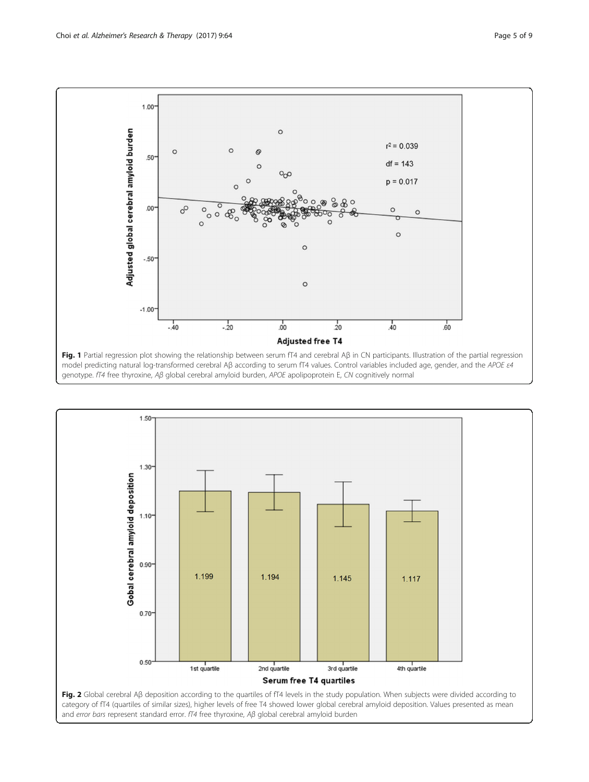<span id="page-4-0"></span>

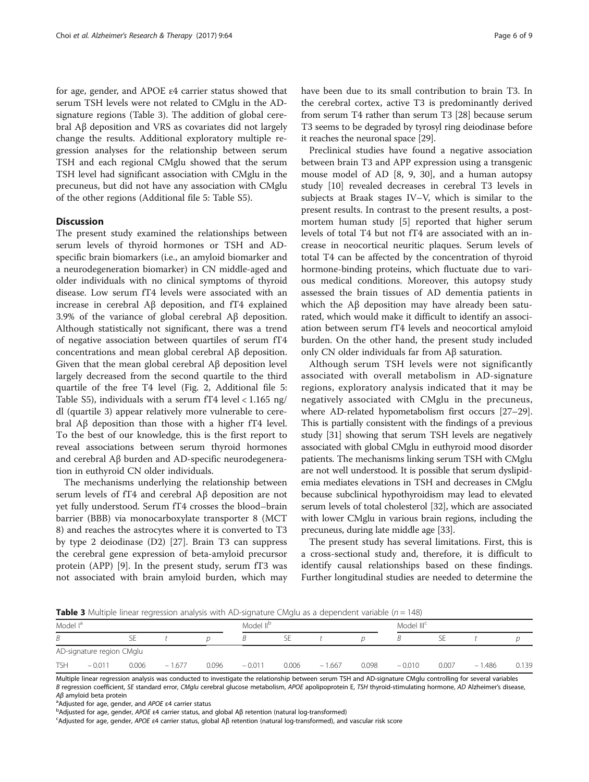for age, gender, and APOE ε4 carrier status showed that serum TSH levels were not related to CMglu in the ADsignature regions (Table 3). The addition of global cerebral Aβ deposition and VRS as covariates did not largely change the results. Additional exploratory multiple regression analyses for the relationship between serum TSH and each regional CMglu showed that the serum TSH level had significant association with CMglu in the precuneus, but did not have any association with CMglu of the other regions (Additional file [5](#page-7-0): Table S5).

#### **Discussion**

The present study examined the relationships between serum levels of thyroid hormones or TSH and ADspecific brain biomarkers (i.e., an amyloid biomarker and a neurodegeneration biomarker) in CN middle-aged and older individuals with no clinical symptoms of thyroid disease. Low serum fT4 levels were associated with an increase in cerebral Aβ deposition, and fT4 explained 3.9% of the variance of global cerebral Aβ deposition. Although statistically not significant, there was a trend of negative association between quartiles of serum fT4 concentrations and mean global cerebral Aβ deposition. Given that the mean global cerebral Aβ deposition level largely decreased from the second quartile to the third quartile of the free T4 level (Fig. [2,](#page-4-0) Additional file [5](#page-7-0): Table S5), individuals with a serum fT4 level < 1.165 ng/ dl (quartile 3) appear relatively more vulnerable to cerebral Aβ deposition than those with a higher fT4 level. To the best of our knowledge, this is the first report to reveal associations between serum thyroid hormones and cerebral Aβ burden and AD-specific neurodegeneration in euthyroid CN older individuals.

The mechanisms underlying the relationship between serum levels of fT4 and cerebral Aβ deposition are not yet fully understood. Serum fT4 crosses the blood–brain barrier (BBB) via monocarboxylate transporter 8 (MCT 8) and reaches the astrocytes where it is converted to T3 by type 2 deiodinase (D2) [\[27\]](#page-8-0). Brain T3 can suppress the cerebral gene expression of beta-amyloid precursor protein (APP) [[9\]](#page-8-0). In the present study, serum fT3 was not associated with brain amyloid burden, which may

Preclinical studies have found a negative association between brain T3 and APP expression using a transgenic mouse model of AD [\[8](#page-7-0), [9, 30\]](#page-8-0), and a human autopsy study [[10\]](#page-8-0) revealed decreases in cerebral T3 levels in subjects at Braak stages IV–V, which is similar to the present results. In contrast to the present results, a postmortem human study [\[5\]](#page-7-0) reported that higher serum levels of total T4 but not fT4 are associated with an increase in neocortical neuritic plaques. Serum levels of total T4 can be affected by the concentration of thyroid hormone-binding proteins, which fluctuate due to various medical conditions. Moreover, this autopsy study assessed the brain tissues of AD dementia patients in which the Aβ deposition may have already been saturated, which would make it difficult to identify an association between serum fT4 levels and neocortical amyloid burden. On the other hand, the present study included only CN older individuals far from Aβ saturation.

Although serum TSH levels were not significantly associated with overall metabolism in AD-signature regions, exploratory analysis indicated that it may be negatively associated with CMglu in the precuneus, where AD-related hypometabolism first occurs [\[27](#page-8-0)–[29](#page-8-0)]. This is partially consistent with the findings of a previous study [\[31\]](#page-8-0) showing that serum TSH levels are negatively associated with global CMglu in euthyroid mood disorder patients. The mechanisms linking serum TSH with CMglu are not well understood. It is possible that serum dyslipidemia mediates elevations in TSH and decreases in CMglu because subclinical hypothyroidism may lead to elevated serum levels of total cholesterol [\[32\]](#page-8-0), which are associated with lower CMglu in various brain regions, including the precuneus, during late middle age [[33](#page-8-0)].

The present study has several limitations. First, this is a cross-sectional study and, therefore, it is difficult to identify causal relationships based on these findings. Further longitudinal studies are needed to determine the

**Table 3** Multiple linear regression analysis with AD-signature CMglu as a dependent variable ( $n = 148$ )

| Model l <sup>a</sup> |                           |       |              |       | $\sim$<br>Model II <sup>b</sup> |       |              |       | Model III <sup>c</sup> |        |          |       |
|----------------------|---------------------------|-------|--------------|-------|---------------------------------|-------|--------------|-------|------------------------|--------|----------|-------|
| В                    |                           | SE    |              |       |                                 | SE    |              |       |                        | ╰<br>ᅴ |          |       |
|                      | AD-signature region CMglu |       |              |       |                                 |       |              |       |                        |        |          |       |
| <b>TSH</b>           | $-0.011$                  | 0.006 | .677<br>$-1$ | 0.096 | $-0.011$                        | 0.006 | .667<br>$-1$ | 0.098 | $-0.010$               | 0.007  | $-1.486$ | 0.139 |

Multiple linear regression analysis was conducted to investigate the relationship between serum TSH and AD-signature CMglu controlling for several variables B regression coefficient, SE standard error, CMglu cerebral glucose metabolism, APOE apolipoprotein E, TSH thyroid-stimulating hormone, AD Alzheimer's disease,  $A\beta$  amyloid beta protein

<sup>a</sup>Adjusted for age, gender, and APOE ε4 carrier status

<sup>b</sup>Adjusted for age, gender, APOE ε4 carrier status, and global Aβ retention (natural log-transformed)

Adjusted for age, gender, APOE <sup>ε</sup>4 carrier status, global A<sup>β</sup> retention (natural log-transformed), and vascular risk score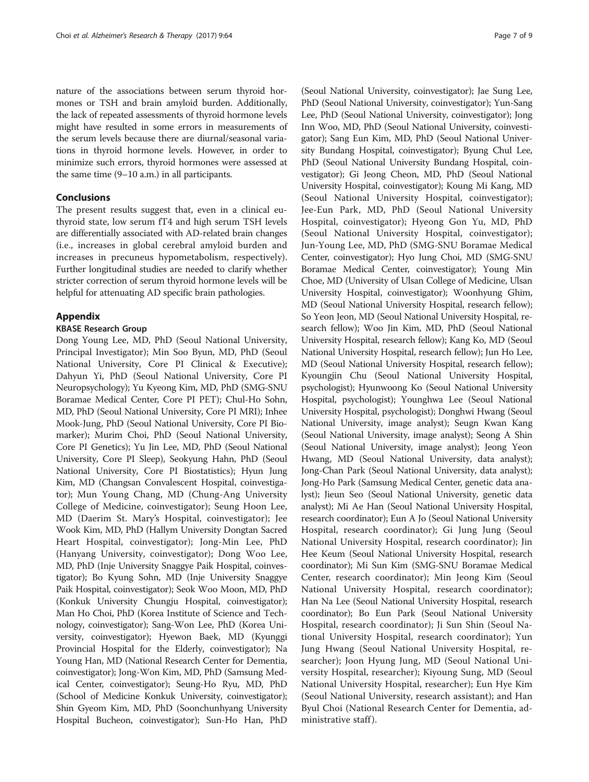nature of the associations between serum thyroid hormones or TSH and brain amyloid burden. Additionally, the lack of repeated assessments of thyroid hormone levels might have resulted in some errors in measurements of the serum levels because there are diurnal/seasonal variations in thyroid hormone levels. However, in order to minimize such errors, thyroid hormones were assessed at the same time (9–10 a.m.) in all participants.

# Conclusions

The present results suggest that, even in a clinical euthyroid state, low serum fT4 and high serum TSH levels are differentially associated with AD-related brain changes (i.e., increases in global cerebral amyloid burden and increases in precuneus hypometabolism, respectively). Further longitudinal studies are needed to clarify whether stricter correction of serum thyroid hormone levels will be helpful for attenuating AD specific brain pathologies.

# Appendix

#### KBASE Research Group

Dong Young Lee, MD, PhD (Seoul National University, Principal Investigator); Min Soo Byun, MD, PhD (Seoul National University, Core PI Clinical & Executive); Dahyun Yi, PhD (Seoul National University, Core PI Neuropsychology); Yu Kyeong Kim, MD, PhD (SMG-SNU Boramae Medical Center, Core PI PET); Chul-Ho Sohn, MD, PhD (Seoul National University, Core PI MRI); Inhee Mook-Jung, PhD (Seoul National University, Core PI Biomarker); Murim Choi, PhD (Seoul National University, Core PI Genetics); Yu Jin Lee, MD, PhD (Seoul National University, Core PI Sleep), Seokyung Hahn, PhD (Seoul National University, Core PI Biostatistics); Hyun Jung Kim, MD (Changsan Convalescent Hospital, coinvestigator); Mun Young Chang, MD (Chung-Ang University College of Medicine, coinvestigator); Seung Hoon Lee, MD (Daerim St. Mary's Hospital, coinvestigator); Jee Wook Kim, MD, PhD (Hallym University Dongtan Sacred Heart Hospital, coinvestigator); Jong-Min Lee, PhD (Hanyang University, coinvestigator); Dong Woo Lee, MD, PhD (Inje University Snaggye Paik Hospital, coinvestigator); Bo Kyung Sohn, MD (Inje University Snaggye Paik Hospital, coinvestigator); Seok Woo Moon, MD, PhD (Konkuk University Chungju Hospital, coinvestigator); Man Ho Choi, PhD (Korea Institute of Science and Technology, coinvestigator); Sang-Won Lee, PhD (Korea University, coinvestigator); Hyewon Baek, MD (Kyunggi Provincial Hospital for the Elderly, coinvestigator); Na Young Han, MD (National Research Center for Dementia, coinvestigator); Jong-Won Kim, MD, PhD (Samsung Medical Center, coinvestigator); Seung-Ho Ryu, MD, PhD (School of Medicine Konkuk University, coinvestigator); Shin Gyeom Kim, MD, PhD (Soonchunhyang University Hospital Bucheon, coinvestigator); Sun-Ho Han, PhD

(Seoul National University, coinvestigator); Jae Sung Lee, PhD (Seoul National University, coinvestigator); Yun-Sang Lee, PhD (Seoul National University, coinvestigator); Jong Inn Woo, MD, PhD (Seoul National University, coinvestigator); Sang Eun Kim, MD, PhD (Seoul National University Bundang Hospital, coinvestigator); Byung Chul Lee, PhD (Seoul National University Bundang Hospital, coinvestigator); Gi Jeong Cheon, MD, PhD (Seoul National University Hospital, coinvestigator); Koung Mi Kang, MD (Seoul National University Hospital, coinvestigator); Jee-Eun Park, MD, PhD (Seoul National University Hospital, coinvestigator); Hyeong Gon Yu, MD, PhD (Seoul National University Hospital, coinvestigator); Jun-Young Lee, MD, PhD (SMG-SNU Boramae Medical Center, coinvestigator); Hyo Jung Choi, MD (SMG-SNU Boramae Medical Center, coinvestigator); Young Min Choe, MD (University of Ulsan College of Medicine, Ulsan University Hospital, coinvestigator); Woonhyung Ghim, MD (Seoul National University Hospital, research fellow); So Yeon Jeon, MD (Seoul National University Hospital, research fellow); Woo Jin Kim, MD, PhD (Seoul National University Hospital, research fellow); Kang Ko, MD (Seoul National University Hospital, research fellow); Jun Ho Lee, MD (Seoul National University Hospital, research fellow); Kyoungjin Chu (Seoul National University Hospital, psychologist); Hyunwoong Ko (Seoul National University Hospital, psychologist); Younghwa Lee (Seoul National University Hospital, psychologist); Donghwi Hwang (Seoul National University, image analyst); Seugn Kwan Kang (Seoul National University, image analyst); Seong A Shin (Seoul National University, image analyst); Jeong Yeon Hwang, MD (Seoul National University, data analyst); Jong-Chan Park (Seoul National University, data analyst); Jong-Ho Park (Samsung Medical Center, genetic data analyst); Jieun Seo (Seoul National University, genetic data analyst); Mi Ae Han (Seoul National University Hospital, research coordinator); Eun A Jo (Seoul National University Hospital, research coordinator); Gi Jung Jung (Seoul National University Hospital, research coordinator); Jin Hee Keum (Seoul National University Hospital, research coordinator); Mi Sun Kim (SMG-SNU Boramae Medical Center, research coordinator); Min Jeong Kim (Seoul National University Hospital, research coordinator); Han Na Lee (Seoul National University Hospital, research coordinator); Bo Eun Park (Seoul National University Hospital, research coordinator); Ji Sun Shin (Seoul National University Hospital, research coordinator); Yun Jung Hwang (Seoul National University Hospital, researcher); Joon Hyung Jung, MD (Seoul National University Hospital, researcher); Kiyoung Sung, MD (Seoul National University Hospital, researcher); Eun Hye Kim (Seoul National University, research assistant); and Han Byul Choi (National Research Center for Dementia, administrative staff ).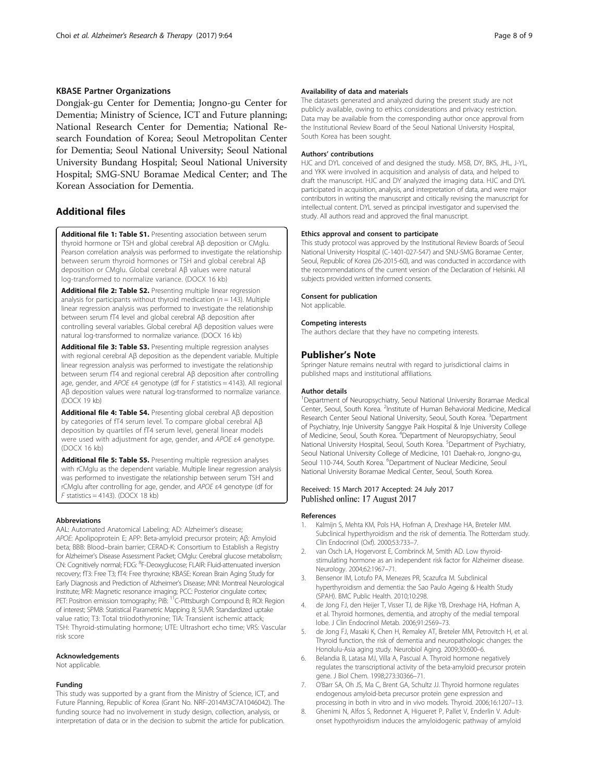## <span id="page-7-0"></span>KBASE Partner Organizations

Dongjak-gu Center for Dementia; Jongno-gu Center for Dementia; Ministry of Science, ICT and Future planning; National Research Center for Dementia; National Research Foundation of Korea; Seoul Metropolitan Center for Dementia; Seoul National University; Seoul National University Bundang Hospital; Seoul National University Hospital; SMG-SNU Boramae Medical Center; and The Korean Association for Dementia.

# Additional files

[Additional file 1: Table S1.](dx.doi.org/10.1186/s13195-017-0291-5) Presenting association between serum thyroid hormone or TSH and global cerebral Aβ deposition or CMglu. Pearson correlation analysis was performed to investigate the relationship between serum thyroid hormones or TSH and global cerebral Aβ deposition or CMglu. Global cerebral Aβ values were natural log-transformed to normalize variance. (DOCX 16 kb)

[Additional file 2: Table S2.](dx.doi.org/10.1186/s13195-017-0291-5) Presenting multiple linear regression analysis for participants without thyroid medication ( $n = 143$ ). Multiple linear regression analysis was performed to investigate the relationship between serum fT4 level and global cerebral Aβ deposition after controlling several variables. Global cerebral Aβ deposition values were natural log-transformed to normalize variance. (DOCX 16 kb)

[Additional file 3: Table S3.](dx.doi.org/10.1186/s13195-017-0291-5) Presenting multiple regression analyses with regional cerebral Aβ deposition as the dependent variable. Multiple linear regression analysis was performed to investigate the relationship between serum fT4 and regional cerebral Aβ deposition after controlling age, gender, and APOE  $\varepsilon$ 4 genotype (df for F statistics = 4143). All regional Aβ deposition values were natural log-transformed to normalize variance. (DOCX 19 kb)

[Additional file 4: Table S4.](dx.doi.org/10.1186/s13195-017-0291-5) Presenting global cerebral Aβ deposition by categories of fT4 serum level. To compare global cerebral Aβ deposition by quartiles of fT4 serum level, general linear models were used with adjustment for age, gender, and APOE ε4 genotype. (DOCX 16 kb)

[Additional file 5: Table S5.](dx.doi.org/10.1186/s13195-017-0291-5) Presenting multiple regression analyses with rCMglu as the dependent variable. Multiple linear regression analysis was performed to investigate the relationship between serum TSH and rCMglu after controlling for age, gender, and APOE ε4 genotype (df for  $F$  statistics = 4143). (DOCX 18 kb)

#### Abbreviations

AAL: Automated Anatomical Labeling; AD: Alzheimer's disease; APOE: Apolipoprotein E; APP: Beta-amyloid precursor protein; Aβ: Amyloid beta; BBB: Blood–brain barrier; CERAD-K: Consortium to Establish a Registry for Alzheimer's Disease Assessment Packet; CMglu: Cerebral glucose metabolism; CN: Cognitively normal; FDG: <sup>8</sup>F-Deoxyglucose; FLAIR: Fluid-attenuated inversion recovery; fT3: Free T3; fT4: Free thyroxine; KBASE: Korean Brain Aging Study for Early Diagnosis and Prediction of Alzheimer's Disease; MNI: Montreal Neurological Institute; MRI: Magnetic resonance imaging; PCC: Posterior cingulate cortex; PET: Positron emission tomography; PiB: <sup>11</sup>C-Pittsburgh Compound B; ROI: Region of interest; SPM8: Statistical Parametric Mapping 8; SUVR: Standardized uptake value ratio; T3: Total triiodothyronine; TIA: Transient ischemic attack; TSH: Thyroid-stimulating hormone; UTE: Ultrashort echo time; VRS: Vascular risk score

#### Acknowledgements

Not applicable.

#### Funding

This study was supported by a grant from the Ministry of Science, ICT, and Future Planning, Republic of Korea (Grant No. NRF-2014M3C7A1046042). The funding source had no involvement in study design, collection, analysis, or interpretation of data or in the decision to submit the article for publication.

#### Availability of data and materials

The datasets generated and analyzed during the present study are not publicly available, owing to ethics considerations and privacy restriction. Data may be available from the corresponding author once approval from the Institutional Review Board of the Seoul National University Hospital, South Korea has been sought.

#### Authors' contributions

HJC and DYL conceived of and designed the study. MSB, DY, BKS, JHL, J-YL, and YKK were involved in acquisition and analysis of data, and helped to draft the manuscript. HJC and DY analyzed the imaging data. HJC and DYL participated in acquisition, analysis, and interpretation of data, and were major contributors in writing the manuscript and critically revising the manuscript for intellectual content. DYL served as principal investigator and supervised the study. All authors read and approved the final manuscript.

#### Ethics approval and consent to participate

This study protocol was approved by the Institutional Review Boards of Seoul National University Hospital (C-1401-027-547) and SNU-SMG Boramae Center, Seoul, Republic of Korea (26-2015-60), and was conducted in accordance with the recommendations of the current version of the Declaration of Helsinki. All subjects provided written informed consents.

#### Consent for publication

Not applicable.

#### Competing interests

The authors declare that they have no competing interests.

#### Publisher's Note

Springer Nature remains neutral with regard to jurisdictional claims in published maps and institutional affiliations.

#### Author details

<sup>1</sup>Department of Neuropsychiatry, Seoul National University Boramae Medical Center, Seoul, South Korea. <sup>2</sup>Institute of Human Behavioral Medicine, Medical Research Center Seoul National University, Seoul, South Korea. <sup>3</sup>Department of Psychiatry, Inje University Sanggye Paik Hospital & Inje University College of Medicine, Seoul, South Korea. <sup>4</sup>Department of Neuropsychiatry, Seoul National University Hospital, Seoul, South Korea. <sup>5</sup>Department of Psychiatry, Seoul National University College of Medicine, 101 Daehak-ro, Jongno-gu, Seoul 110-744, South Korea. <sup>6</sup>Department of Nuclear Medicine, Seoul National University Boramae Medical Center, Seoul, South Korea.

#### Received: 15 March 2017 Accepted: 24 July 2017 Published online: 17 August 2017

#### References

- 1. Kalmijn S, Mehta KM, Pols HA, Hofman A, Drexhage HA, Breteler MM. Subclinical hyperthyroidism and the risk of dementia. The Rotterdam study. Clin Endocrinol (Oxf). 2000;53:733–7.
- 2. van Osch LA, Hogervorst E, Combrinck M, Smith AD. Low thyroidstimulating hormone as an independent risk factor for Alzheimer disease. Neurology. 2004;62:1967–71.
- 3. Bensenor IM, Lotufo PA, Menezes PR, Scazufca M. Subclinical hyperthyroidism and dementia: the Sao Paulo Ageing & Health Study (SPAH). BMC Public Health. 2010;10:298.
- 4. de Jong FJ, den Heijer T, Visser TJ, de Rijke YB, Drexhage HA, Hofman A, et al. Thyroid hormones, dementia, and atrophy of the medial temporal lobe. J Clin Endocrinol Metab. 2006;91:2569–73.
- 5. de Jong FJ, Masaki K, Chen H, Remaley AT, Breteler MM, Petrovitch H, et al. Thyroid function, the risk of dementia and neuropathologic changes: the Honolulu-Asia aging study. Neurobiol Aging. 2009;30:600–6.
- 6. Belandia B, Latasa MJ, Villa A, Pascual A. Thyroid hormone negatively regulates the transcriptional activity of the beta-amyloid precursor protein gene. J Biol Chem. 1998;273:30366–71.
- 7. O'Barr SA, Oh JS, Ma C, Brent GA, Schultz JJ. Thyroid hormone regulates endogenous amyloid-beta precursor protein gene expression and processing in both in vitro and in vivo models. Thyroid. 2006;16:1207–13.
- 8. Ghenimi N, Alfos S, Redonnet A, Higueret P, Pallet V, Enderlin V. Adultonset hypothyroidism induces the amyloidogenic pathway of amyloid